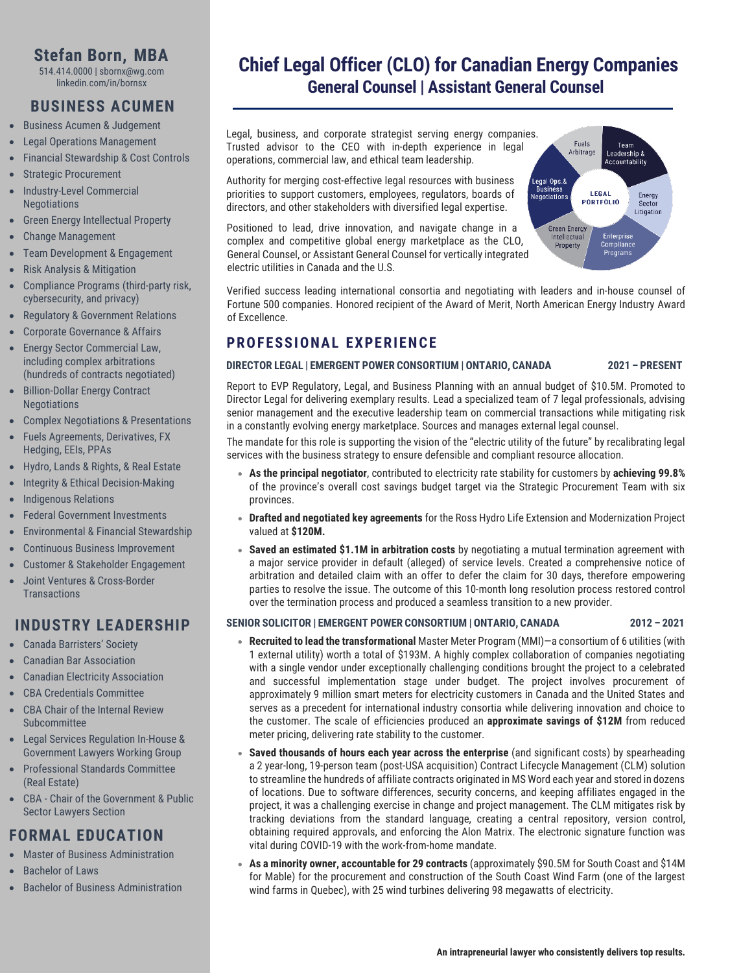# **Stefan Born, MBA**

514.414.0000 | sbornx@wg.com linkedin.com/in/bornsx

# **BUSINESS ACUMEN**

- Business Acumen & Judgement
- Legal Operations Management
- Financial Stewardship & Cost Controls
- Strategic Procurement
- Industry-Level Commercial Negotiations
- Green Energy Intellectual Property
- Change Management
- Team Development & Engagement
- Risk Analysis & Mitigation
- Compliance Programs (third-party risk, cybersecurity, and privacy)
- Regulatory & Government Relations
- Corporate Governance & Affairs
- Energy Sector Commercial Law, including complex arbitrations (hundreds of contracts negotiated)
- Billion-Dollar Energy Contract Negotiations
- Complex Negotiations & Presentations
- Fuels Agreements, Derivatives, FX Hedging, EEIs, PPAs
- Hydro, Lands & Rights, & Real Estate
- Integrity & Ethical Decision-Making
- Indigenous Relations
- Federal Government Investments
- Environmental & Financial Stewardship
- Continuous Business Improvement
- Customer & Stakeholder Engagement
- Joint Ventures & Cross-Border **Transactions**

## **INDUSTRY LEADERSHIP**

- Canada Barristers' Society
- Canadian Bar Association
- Canadian Electricity Association
- CBA Credentials Committee
- CBA Chair of the Internal Review Subcommittee
- Legal Services Regulation In-House & Government Lawyers Working Group
- Professional Standards Committee (Real Estate)
- CBA Chair of the Government & Public Sector Lawyers Section

# **FORMAL EDUCATION**

- Master of Business Administration
- Bachelor of Laws
- Bachelor of Business Administration

# **Chief Legal Officer (CLO) for Canadian Energy Companies General Counsel | Assistant General Counsel**

Legal, business, and corporate strategist serving energy companies. Trusted advisor to the CEO with in-depth experience in legal operations, commercial law, and ethical team leadership.

Authority for merging cost-effective legal resources with business priorities to support customers, employees, regulators, boards of directors, and other stakeholders with diversified legal expertise.

Positioned to lead, drive innovation, and navigate change in a complex and competitive global energy marketplace as the CLO, General Counsel, or Assistant General Counsel for vertically integrated electric utilities in Canada and the U.S.



Verified success leading international consortia and negotiating with leaders and in-house counsel of Fortune 500 companies. Honored recipient of the Award of Merit, North American Energy Industry Award of Excellence.

# **PROFESSIONAL EXPERIENCE**

#### **DIRECTOR LEGAL | EMERGENT POWER CONSORTIUM | ONTARIO, CANADA 2021 – PRESENT**

Report to EVP Regulatory, Legal, and Business Planning with an annual budget of \$10.5M. Promoted to Director Legal for delivering exemplary results. Lead a specialized team of 7 legal professionals, advising senior management and the executive leadership team on commercial transactions while mitigating risk in a constantly evolving energy marketplace. Sources and manages external legal counsel.

The mandate for this role is supporting the vision of the "electric utility of the future" by recalibrating legal services with the business strategy to ensure defensible and compliant resource allocation.

- **As the principal negotiator**, contributed to electricity rate stability for customers by **achieving 99.8%** of the province's overall cost savings budget target via the Strategic Procurement Team with six provinces.
- **Drafted and negotiated key agreements** for the Ross Hydro Life Extension and Modernization Project valued at **\$120M.**
- **Saved an estimated \$1.1M in arbitration costs** by negotiating a mutual termination agreement with a major service provider in default (alleged) of service levels. Created a comprehensive notice of arbitration and detailed claim with an offer to defer the claim for 30 days, therefore empowering parties to resolve the issue. The outcome of this 10-month long resolution process restored control over the termination process and produced a seamless transition to a new provider.

#### **SENIOR SOLICITOR | EMERGENT POWER CONSORTIUM | ONTARIO, CANADA 2012 – 2021**

- **Recruited to lead the transformational** Master Meter Program (MMI)—a consortium of 6 utilities (with 1 external utility) worth a total of \$193M. A highly complex collaboration of companies negotiating with a single vendor under exceptionally challenging conditions brought the project to a celebrated and successful implementation stage under budget. The project involves procurement of approximately 9 million smart meters for electricity customers in Canada and the United States and serves as a precedent for international industry consortia while delivering innovation and choice to the customer. The scale of efficiencies produced an **approximate savings of \$12M** from reduced meter pricing, delivering rate stability to the customer.
- **Saved thousands of hours each year across the enterprise** (and significant costs) by spearheading a 2 year-long, 19-person team (post-USA acquisition) Contract Lifecycle Management (CLM) solution to streamline the hundreds of affiliate contracts originated in MS Word each year and stored in dozens of locations. Due to software differences, security concerns, and keeping affiliates engaged in the project, it was a challenging exercise in change and project management. The CLM mitigates risk by tracking deviations from the standard language, creating a central repository, version control, obtaining required approvals, and enforcing the Alon Matrix. The electronic signature function was vital during COVID-19 with the work-from-home mandate.
- **As a minority owner, accountable for 29 contracts** (approximately \$90.5M for South Coast and \$14M for Mable) for the procurement and construction of the South Coast Wind Farm (one of the largest wind farms in Quebec), with 25 wind turbines delivering 98 megawatts of electricity.